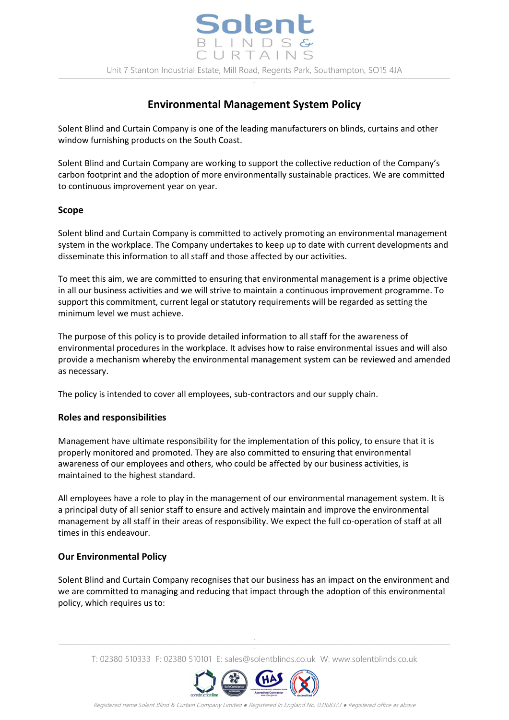# **Environmental Management System Policy**

Solent Blind and Curtain Company is one of the leading manufacturers on blinds, curtains and other window furnishing products on the South Coast.

Solent Blind and Curtain Company are working to support the collective reduction of the Company's carbon footprint and the adoption of more environmentally sustainable practices. We are committed to continuous improvement year on year.

#### **Scope**

Solent blind and Curtain Company is committed to actively promoting an environmental management system in the workplace. The Company undertakes to keep up to date with current developments and disseminate this information to all staff and those affected by our activities.

To meet this aim, we are committed to ensuring that environmental management is a prime objective in all our business activities and we will strive to maintain a continuous improvement programme. To support this commitment, current legal or statutory requirements will be regarded as setting the minimum level we must achieve.

The purpose of this policy is to provide detailed information to all staff for the awareness of environmental procedures in the workplace. It advises how to raise environmental issues and will also provide a mechanism whereby the environmental management system can be reviewed and amended as necessary.

The policy is intended to cover all employees, sub-contractors and our supply chain.

### **Roles and responsibilities**

Management have ultimate responsibility for the implementation of this policy, to ensure that it is properly monitored and promoted. They are also committed to ensuring that environmental awareness of our employees and others, who could be affected by our business activities, is maintained to the highest standard.

All employees have a role to play in the management of our environmental management system. It is a principal duty of all senior staff to ensure and actively maintain and improve the environmental management by all staff in their areas of responsibility. We expect the full co-operation of staff at all times in this endeavour.

#### **Our Environmental Policy**

Solent Blind and Curtain Company recognises that our business has an impact on the environment and we are committed to managing and reducing that impact through the adoption of this environmental policy, which requires us to:

T: 02380 510333 F: 02380 510101 E: sales@solentblinds.co.uk W: www.solentblinds.co.uk



Registered name Solent Blind & Curtain Company Limited ● Registered In England No. 03168373 ● Registered office as above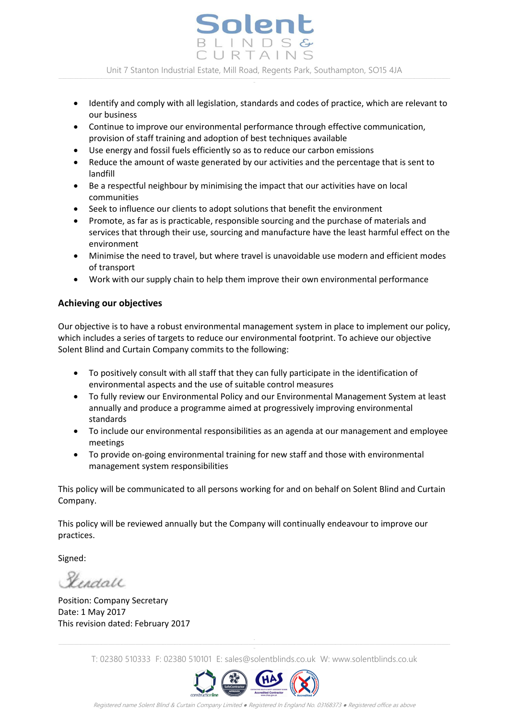Solent LINDSG URTAINS Unit 7 Stanton Industrial Estate, Mill Road, Regents Park, Southampton, SO15 4JA

- Identify and comply with all legislation, standards and codes of practice, which are relevant to our business
- Continue to improve our environmental performance through effective communication, provision of staff training and adoption of best techniques available
- Use energy and fossil fuels efficiently so as to reduce our carbon emissions
- Reduce the amount of waste generated by our activities and the percentage that is sent to landfill
- Be a respectful neighbour by minimising the impact that our activities have on local communities
- Seek to influence our clients to adopt solutions that benefit the environment
- Promote, as far as is practicable, responsible sourcing and the purchase of materials and services that through their use, sourcing and manufacture have the least harmful effect on the environment
- Minimise the need to travel, but where travel is unavoidable use modern and efficient modes of transport
- Work with our supply chain to help them improve their own environmental performance

## **Achieving our objectives**

Our objective is to have a robust environmental management system in place to implement our policy, which includes a series of targets to reduce our environmental footprint. To achieve our objective Solent Blind and Curtain Company commits to the following:

- To positively consult with all staff that they can fully participate in the identification of environmental aspects and the use of suitable control measures
- To fully review our Environmental Policy and our Environmental Management System at least annually and produce a programme aimed at progressively improving environmental standards
- To include our environmental responsibilities as an agenda at our management and employee meetings
- To provide on-going environmental training for new staff and those with environmental management system responsibilities

This policy will be communicated to all persons working for and on behalf on Solent Blind and Curtain Company.

This policy will be reviewed annually but the Company will continually endeavour to improve our practices.

Signed:

Herdall

Position: Company Secretary Date: 1 May 2017 This revision dated: February 2017

T: 02380 510333 F: 02380 510101 E: sales@solentblinds.co.uk W: www.solentblinds.co.uk